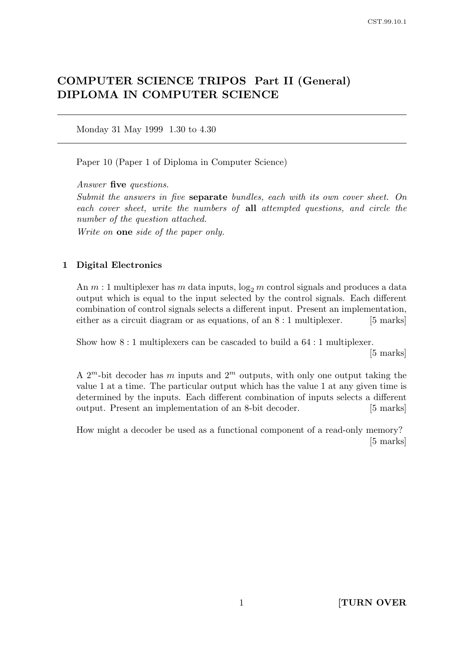# COMPUTER SCIENCE TRIPOS Part II (General) DIPLOMA IN COMPUTER SCIENCE

Monday 31 May 1999 1.30 to 4.30

Paper 10 (Paper 1 of Diploma in Computer Science)

Answer five questions.

Submit the answers in five separate bundles, each with its own cover sheet. On each cover sheet, write the numbers of all attempted questions, and circle the number of the question attached.

Write on one side of the paper only.

## 1 Digital Electronics

An  $m:1$  multiplexer has m data inputs,  $\log_2 m$  control signals and produces a data output which is equal to the input selected by the control signals. Each different combination of control signals selects a different input. Present an implementation, either as a circuit diagram or as equations, of an  $8:1$  multiplexer. [5 marks]

Show how 8 : 1 multiplexers can be cascaded to build a 64 : 1 multiplexer.

[5 marks]

A  $2^m$ -bit decoder has m inputs and  $2^m$  outputs, with only one output taking the value 1 at a time. The particular output which has the value 1 at any given time is determined by the inputs. Each different combination of inputs selects a different output. Present an implementation of an 8-bit decoder. [5 marks]

How might a decoder be used as a functional component of a read-only memory? [5 marks]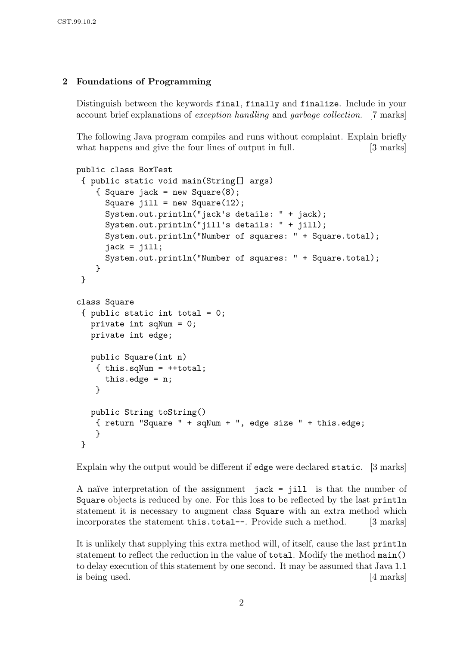# 2 Foundations of Programming

Distinguish between the keywords final, finally and finalize. Include in your account brief explanations of exception handling and garbage collection. [7 marks]

The following Java program compiles and runs without complaint. Explain briefly what happens and give the four lines of output in full. [3 marks]

```
public class BoxTest
 { public static void main(String[] args)
    { Square jack = new Square(8);
      Square jill = new Square(12);
      System.out.println("jack's details: " + jack);
      System.out.println("jill's details: " + jill);
      System.out.println("Number of squares: " + Square.total);
      jack = jill;System.out.println("Number of squares: " + Square.total);
    }
}
class Square
 { public static int total = 0;
  private int sqNum = 0;
  private int edge;
  public Square(int n)
    \{ this.sqNum = + + total;this.edge = n;
    }
  public String toString()
    { return "Square " + sqNum + ", edge size " + this.edge;
    }
}
```
Explain why the output would be different if edge were declared static. [3 marks]

A naïve interpretation of the assignment  $~jack = jill$  is that the number of Square objects is reduced by one. For this loss to be reflected by the last println statement it is necessary to augment class Square with an extra method which incorporates the statement this.total--. Provide such a method. [3 marks]

It is unlikely that supplying this extra method will, of itself, cause the last println statement to reflect the reduction in the value of total. Modify the method main() to delay execution of this statement by one second. It may be assumed that Java 1.1 is being used. [4 marks]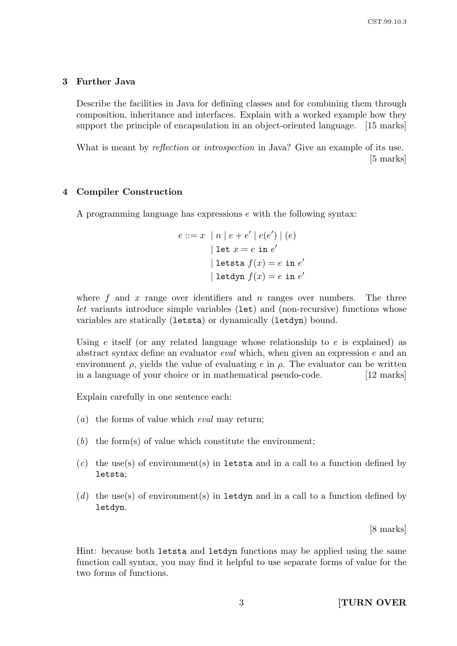## 3 Further Java

Describe the facilities in Java for defining classes and for combining them through composition, inheritance and interfaces. Explain with a worked example how they support the principle of encapsulation in an object-oriented language. [15 marks]

What is meant by *reflection* or *introspection* in Java? Give an example of its use. [5 marks]

## 4 Compiler Construction

A programming language has expressions e with the following syntax:

$$
e ::= x \mid n \mid e + e' \mid e(e') \mid (e)
$$
  

$$
|\text{ let } x = e \text{ in } e'
$$
  

$$
|\text{ let } f(x) = e \text{ in } e'
$$
  

$$
|\text{ let } f(x) = e \text{ in } e'
$$

where f and x range over identifiers and n ranges over numbers. The three let variants introduce simple variables (let) and (non-recursive) functions whose variables are statically (letsta) or dynamically (letdyn) bound.

Using  $e$  itself (or any related language whose relationship to  $e$  is explained) as abstract syntax define an evaluator eval which, when given an expression e and an environment  $\rho$ , yields the value of evaluating e in  $\rho$ . The evaluator can be written in a language of your choice or in mathematical pseudo-code. [12 marks]

Explain carefully in one sentence each:

- (a) the forms of value which eval may return;
- $(b)$  the form(s) of value which constitute the environment;
- $(c)$  the use(s) of environment(s) in letsta and in a call to a function defined by letsta;
- (d) the use(s) of environment(s) in letdyn and in a call to a function defined by letdyn.

[8 marks]

Hint: because both letsta and letdyn functions may be applied using the same function call syntax, you may find it helpful to use separate forms of value for the two forms of functions.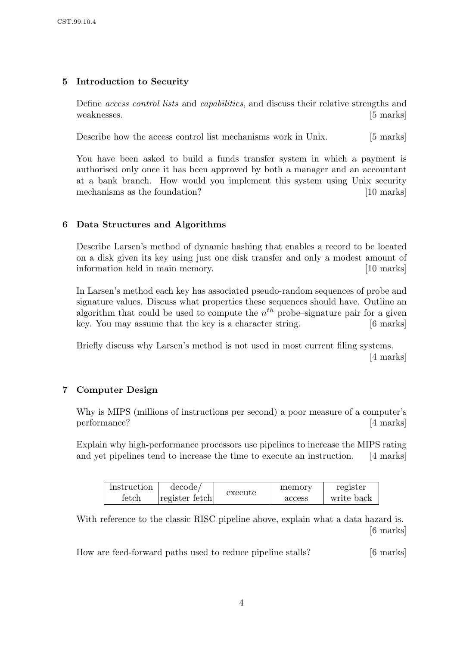# 5 Introduction to Security

Define access control lists and capabilities, and discuss their relative strengths and weaknesses. [5 marks]

Describe how the access control list mechanisms work in Unix. [5 marks]

You have been asked to build a funds transfer system in which a payment is authorised only once it has been approved by both a manager and an accountant at a bank branch. How would you implement this system using Unix security mechanisms as the foundation? [10 marks]

## 6 Data Structures and Algorithms

Describe Larsen's method of dynamic hashing that enables a record to be located on a disk given its key using just one disk transfer and only a modest amount of information held in main memory. [10 marks]

In Larsen's method each key has associated pseudo-random sequences of probe and signature values. Discuss what properties these sequences should have. Outline an algorithm that could be used to compute the  $n^{th}$  probe–signature pair for a given key. You may assume that the key is a character string. [6 marks]

Briefly discuss why Larsen's method is not used in most current filing systems. [4 marks]

## 7 Computer Design

Why is MIPS (millions of instructions per second) a poor measure of a computer's performance? [4 marks]

Explain why high-performance processors use pipelines to increase the MIPS rating and yet pipelines tend to increase the time to execute an instruction. [4 marks]

| instruction | decode/        | execute | memory | register   |
|-------------|----------------|---------|--------|------------|
| fetch       | register fetch |         | access | write back |

With reference to the classic RISC pipeline above, explain what a data hazard is. [6 marks]

How are feed-forward paths used to reduce pipeline stalls? [6 marks]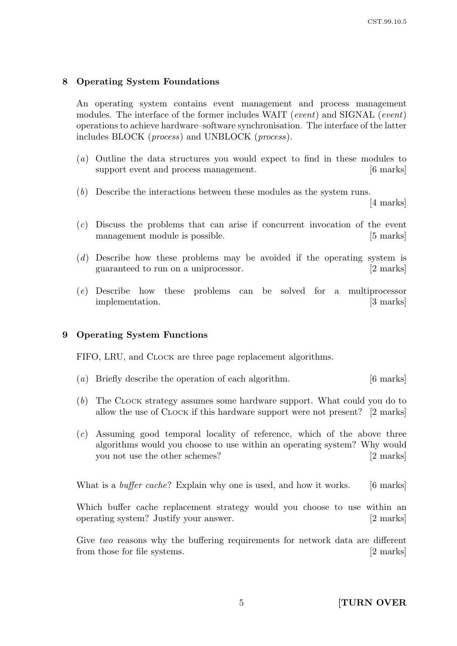## 8 Operating System Foundations

An operating system contains event management and process management modules. The interface of the former includes WAIT (event) and SIGNAL (event) operations to achieve hardware–software synchronisation. The interface of the latter includes BLOCK (process) and UNBLOCK (process).

- (a) Outline the data structures you would expect to find in these modules to support event and process management.  $|6 \text{ marks}|$
- (b) Describe the interactions between these modules as the system runs.

[4 marks]

- (c) Discuss the problems that can arise if concurrent invocation of the event management module is possible. [5 marks]
- (d) Describe how these problems may be avoided if the operating system is guaranteed to run on a uniprocessor. [2 marks]
- (e) Describe how these problems can be solved for a multiprocessor implementation. [3 marks]

#### 9 Operating System Functions

FIFO, LRU, and CLOCK are three page replacement algorithms.

- (a) Briefly describe the operation of each algorithm. [6 marks]
- (b) The CLOCK strategy assumes some hardware support. What could you do to allow the use of CLOCK if this hardware support were not present? [2 marks]
- (c) Assuming good temporal locality of reference, which of the above three algorithms would you choose to use within an operating system? Why would you not use the other schemes? [2 marks]

What is a *buffer cache*? Explain why one is used, and how it works. [6 marks]

Which buffer cache replacement strategy would you choose to use within an operating system? Justify your answer. [2 marks]

Give two reasons why the buffering requirements for network data are different from those for file systems. [2 marks]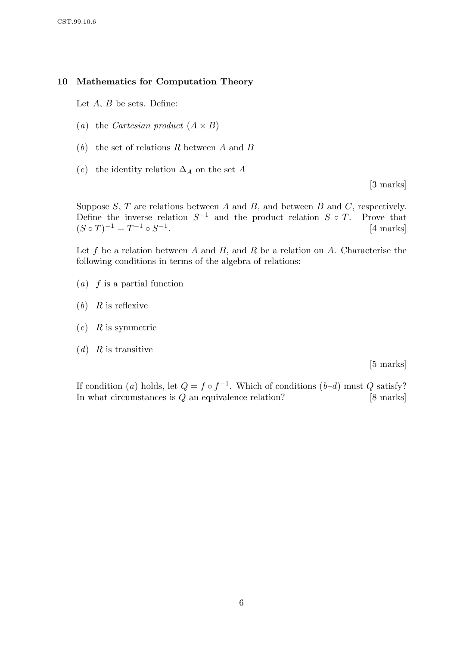## 10 Mathematics for Computation Theory

Let  $A, B$  be sets. Define:

- (a) the Cartesian product  $(A \times B)$
- $(b)$  the set of relations R between A and B
- (c) the identity relation  $\Delta_A$  on the set A

[3 marks]

Suppose  $S, T$  are relations between  $A$  and  $B$ , and between  $B$  and  $C$ , respectively. Define the inverse relation  $S^{-1}$  and the product relation  $S \circ T$ . Prove that  $(S \circ T)^{-1} = T^{-1} \circ S^{-1}$ . [4 marks]

Let f be a relation between A and B, and R be a relation on A. Characterise the following conditions in terms of the algebra of relations:

- $(a)$  f is a partial function
- $(b)$  R is reflexive
- $(c)$  R is symmetric
- $(d)$  R is transitive

[5 marks]

If condition (a) holds, let  $Q = f \circ f^{-1}$ . Which of conditions (b-d) must Q satisfy? In what circumstances is  $Q$  an equivalence relation? [8 marks]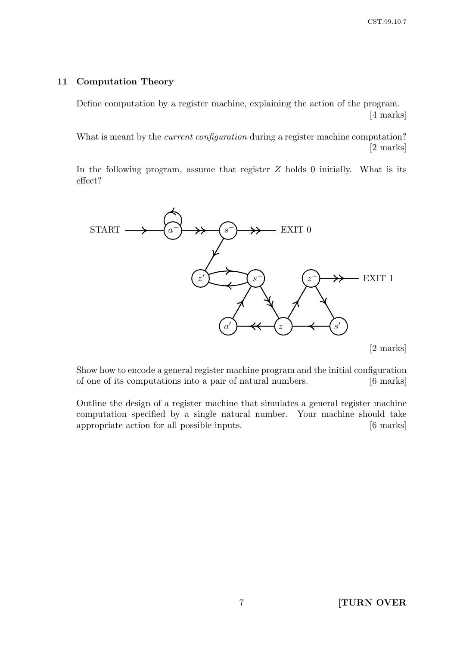## 11 Computation Theory

Define computation by a register machine, explaining the action of the program. [4 marks]

What is meant by the *current configuration* during a register machine computation? [2 marks]

In the following program, assume that register  $Z$  holds 0 initially. What is its effect?



[2 marks]

Show how to encode a general register machine program and the initial configuration of one of its computations into a pair of natural numbers. [6 marks]

Outline the design of a register machine that simulates a general register machine computation specified by a single natural number. Your machine should take appropriate action for all possible inputs. [6 marks]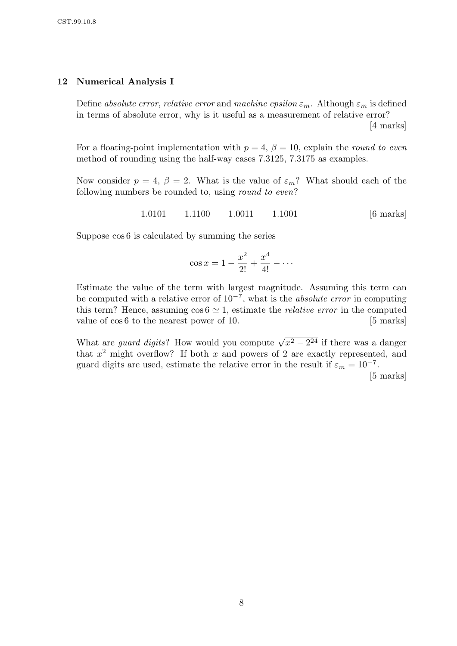#### 12 Numerical Analysis I

Define absolute error, relative error and machine epsilon  $\varepsilon_m$ . Although  $\varepsilon_m$  is defined in terms of absolute error, why is it useful as a measurement of relative error?

[4 marks]

For a floating-point implementation with  $p = 4$ ,  $\beta = 10$ , explain the round to even method of rounding using the half-way cases 7.3125, 7.3175 as examples.

Now consider  $p = 4$ ,  $\beta = 2$ . What is the value of  $\varepsilon_m$ ? What should each of the following numbers be rounded to, using round to even?

1.0101 1.1100 1.0011 1.1001 [6 marks]

Suppose cos 6 is calculated by summing the series

$$
\cos x = 1 - \frac{x^2}{2!} + \frac{x^4}{4!} - \cdots
$$

Estimate the value of the term with largest magnitude. Assuming this term can be computed with a relative error of  $10^{-7}$ , what is the *absolute error* in computing this term? Hence, assuming  $\cos 6 \simeq 1$ , estimate the *relative error* in the computed value of  $\cos 6$  to the nearest power of 10. [5 marks]

What are *guard digits*? How would you compute  $\sqrt{x^2 - 2^{24}}$  if there was a danger that  $x^2$  might overflow? If both x and powers of 2 are exactly represented, and guard digits are used, estimate the relative error in the result if  $\varepsilon_m = 10^{-7}$ .

[5 marks]